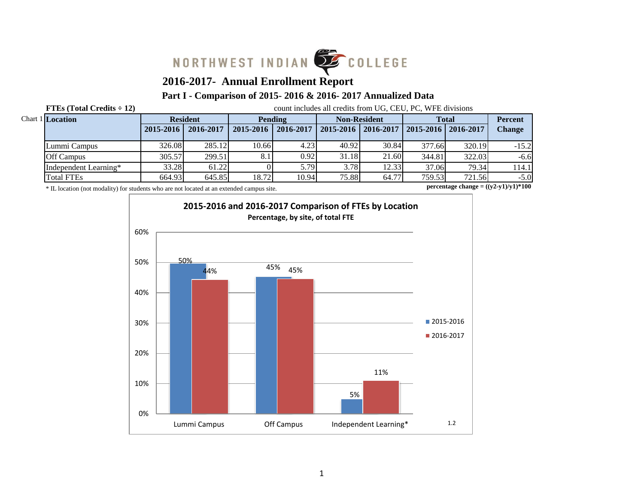

# **2016-2017- Annual Enrollment Report**

# **Part I - Comparison of 2015- 2016 & 2016- 2017 Annualized Data**

**FTEs (Total Credits**  $\div$  **12)** count includes all credits from UG, CEU, PC, WFE divisions

| Chart 1 Location      |           | <b>Resident</b> |           | Pending   |       | <b>Non-Resident</b>   |                            | <b>Total</b> | <b>Percent</b> |
|-----------------------|-----------|-----------------|-----------|-----------|-------|-----------------------|----------------------------|--------------|----------------|
|                       | 2015-2016 | 2016-2017       | 2015-2016 | 2016-2017 |       | 2015-2016   2016-2017 | $12015 - 2016$   2016-2017 |              | Change         |
| Lummi Campus          | 326.08    | 285.12          | 10.66     | 4.231     | 40.92 | 30.84                 | 377.66                     | 320.19       | $-15.2$        |
| <b>Off Campus</b>     | 305.57    | 299.51          | 8.1       | 0.92      | 31.18 | 21.60                 | 344.81                     | 322.03       | $-6.6$         |
| Independent Learning* | 33.28     | 61.22           |           | 5.79      | 3.78  | 12.33                 | 37.06                      | 79.34        | 114.1          |
| <b>Total FTEs</b>     | 664.93    | 645.85          | 18.72     | 10.94     | 75.88 | 64.77                 | 759.53                     | 721.56       | $-5.0$         |

\* IL location (not modality) for students who are not located at an extended campus site.

**percentage change = ((y2-y1)/y1)\*100**

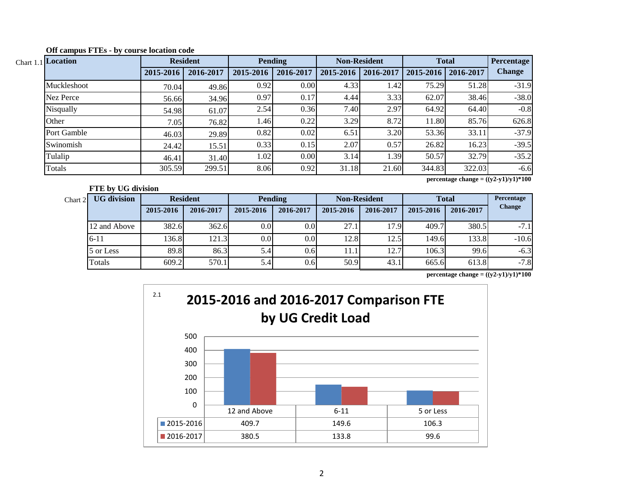| Chart 1.1 Location |           | <b>Resident</b> |           | <b>Pending</b> |           | <b>Non-Resident</b> |                       | <b>Total</b> | <b>Percentage</b> |
|--------------------|-----------|-----------------|-----------|----------------|-----------|---------------------|-----------------------|--------------|-------------------|
|                    | 2015-2016 | 2016-2017       | 2015-2016 | 2016-2017      | 2015-2016 | 2016-2017           | 2015-2016   2016-2017 |              | <b>Change</b>     |
| Muckleshoot        | 70.04     | 49.86           | 0.92      | 0.00           | 4.33      | 1.42                | 75.29                 | 51.28        | $-31.9$           |
| Nez Perce          | 56.66     | 34.96           | 0.97      | 0.17           | 4.44      | 3.33                | 62.07                 | 38.46        | $-38.0$           |
| Nisqually          | 54.98     | 61.07           | 2.54      | 0.36           | 7.40      | 2.97                | 64.92                 | 64.40        | $-0.8$            |
| Other              | 7.05      | 76.82           | 1.46      | 0.22           | 3.29      | 8.72                | 11.80                 | 85.76        | 626.8             |
| Port Gamble        | 46.03     | 29.89           | 0.82      | 0.02           | 6.51      | 3.20                | 53.36                 | 33.11        | $-37.9$           |
| Swinomish          | 24.42     | 15.51           | 0.33      | 0.15           | 2.07      | 0.57                | 26.82                 | 16.23        | $-39.5$           |
| Tulalip            | 46.41     | 31.40           | 1.02      | 0.00           | 3.14      | 1.39                | 50.57                 | 32.79        | $-35.2$           |
| Totals             | 305.59    | 299.51          | 8.06      | 0.92           | 31.18     | 21.60               | 344.83                | 322.03       | $-6.6$            |

**Off campus FTEs - by course location code**

**FTE by UG division**

**percentage change = ((y2-y1)/y1)\*100**

| Chart 2 | <b>UG</b> division |           | <b>Resident</b> | <b>Pending</b> |                 | <b>Non-Resident</b> |           | <b>Total</b> | Percentage |               |
|---------|--------------------|-----------|-----------------|----------------|-----------------|---------------------|-----------|--------------|------------|---------------|
|         |                    | 2015-2016 | 2016-2017       | 2015-2016      | 2016-2017       | 2015-2016           | 2016-2017 | 2015-2016    | 2016-2017  | <b>Change</b> |
|         | 12 and Above       | 382.6     | 362.6           | 0.0            | $0.0\,$         | 27.1                | 17.91     | 409.7        | 380.5      | $-7.1$        |
|         | $6 - 11$           | 136.8     | 121.3           | 0.0            | $0.0\mathsf{I}$ | 12.8                | 12.5      | 149.6        | 133.8      | $-10.6$       |
|         | 5 or Less          | 89.8      | 86.3            | 5.4            | 0.6             | 11.1                | 12.7      | 106.3        | 99.6       | $-6.3$        |
|         | Totals             | 609.2     | 570.1           | 5.4            | 0.6             | 50.9                | 43.1      | 665.6        | 613.8      | $-7.8$        |

**percentage change = ((y2-y1)/y1)\*100**

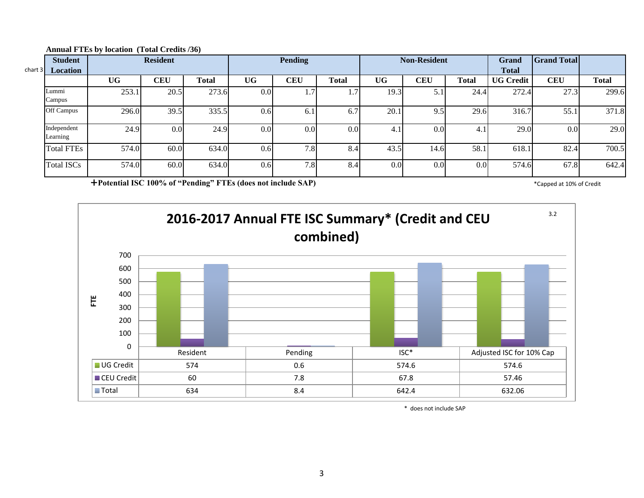| chart $3$ | <b>Student</b><br><b>Location</b> |           | <b>Resident</b>  |       |                  | Pending        |              |      | <b>Non-Resident</b> |              | Grand<br><b>Total</b> | <b>Grand Total</b> |              |
|-----------|-----------------------------------|-----------|------------------|-------|------------------|----------------|--------------|------|---------------------|--------------|-----------------------|--------------------|--------------|
|           |                                   | <b>UG</b> | CEU              | Total | <b>UG</b>        | <b>CEU</b>     | <b>Total</b> | UG   | <b>CEU</b>          | <b>Total</b> | <b>UG Credit</b>      | <b>CEU</b>         | <b>Total</b> |
|           | Lummi<br>Campus                   | 253.1     | 20.5             | 273.6 | 0.0              | $\mathbf{1}$ . | 1.7          | 19.3 | 51<br>J.1           | 24.4         | 272.4                 | 27.3               | 299.6        |
|           | Off Campus                        | 296.0     | 39.5             | 335.5 | 0.6              | 6.1            | 6.7          | 20.1 | 9.5                 | 29.6         | 316.7                 | 55.1               | 371.8        |
|           | Independent<br>Learning           | 24.9      | 0.0 <sub>l</sub> | 24.9  | 0.0 <sub>l</sub> | 0.0            | 0.0          | 4.1  | 0.0 <sub>l</sub>    | 4. I         | 29.0                  | 0.0                | 29.0         |
|           | <b>Total FTEs</b>                 | 574.0     | 60.0             | 634.0 | 0.6              | 7.8            | 8.4          | 43.5 | 14.6                | 58.1         | 618.1                 | 82.4               | 700.5        |
|           | <b>Total ISCs</b>                 | 574.0     | 60.0             | 634.0 | 0.6              | 7.8            | 8.4          | 0.0  | 0.0 <sub>l</sub>    | 0.0          | 574.6                 | 67.8               | 642.4        |

#### **Annual FTEs by location (Total Credits /36)**

**Potential ISC 100% of "Pending" FTEs (does not include SAP)** \* Capped at 10% of Credit \* Capped at 10% of Credit



\* does not include SAP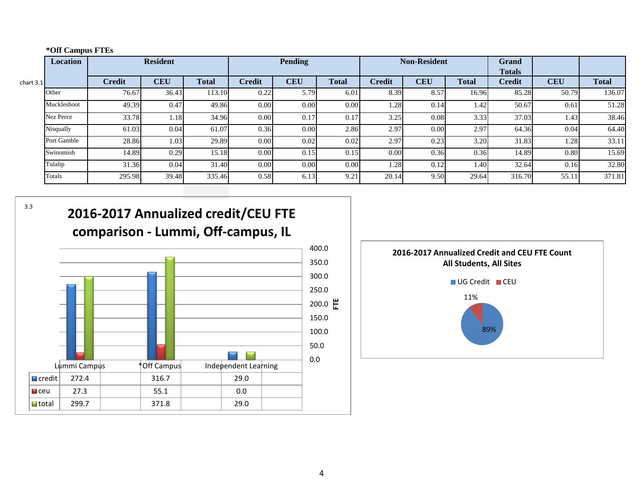|  | *Off Campus FTEs |  |
|--|------------------|--|
|--|------------------|--|

|             | <b>Resident</b><br>Location |               |            | <b>Pending</b> |               |            | <b>Non-Resident</b> |               |            | <b>Grand</b><br><b>Totals</b> |               |            |              |
|-------------|-----------------------------|---------------|------------|----------------|---------------|------------|---------------------|---------------|------------|-------------------------------|---------------|------------|--------------|
| chart $3.1$ |                             | <b>Credit</b> | <b>CEU</b> | <b>Total</b>   | <b>Credit</b> | <b>CEU</b> | <b>Total</b>        | <b>Credit</b> | <b>CEU</b> | <b>Total</b>                  | <b>Credit</b> | <b>CEU</b> | <b>Total</b> |
|             | Other                       | 76.67         | 36.43      | 113.10         | 0.22          | 5.79       | 6.01                | 8.39          | 8.57       | 16.96                         | 85.28         | 50.79      | 136.07       |
|             | Muckleshoot                 | 49.39         | 0.47       | 49.86          | 0.00          | 0.00       | 0.00                | 1.28          | 0.14       | 1.42                          | 50.67         | 0.61       | 51.28        |
|             | Nez Perce                   | 33.78         | 1.18       | 34.96          | 0.00          | 0.17       | 0.17                | 3.25          | 0.08       | 3.33                          | 37.03         | 1.43       | 38.46        |
|             | Nisqually                   | 61.03         | 0.04       | 61.07          | 0.36          | 0.00       | 2.86                | 2.97          | $0.00\,$   | 2.97                          | 64.36         | 0.04       | 64.40        |
|             | Port Gamble                 | 28.86         | 1.03       | 29.89          | 0.00          | 0.02       | 0.02                | 2.97          | 0.23       | 3.20                          | 31.83         | 1.28       | 33.11        |
|             | Swinomish                   | 14.89         | 0.29       | 15.18          | 0.00          | 0.15       | 0.15                | 0.00          | 0.36       | 0.36                          | 14.89         | 0.80       | 15.69        |
|             | Tulalip                     | 31.36         | 0.04       | 31.40          | 0.00          | 0.00       | 0.00                | 1.28          | 0.12       | 1.40                          | 32.64         | 0.16       | 32.80        |
|             | Totals                      | 295.98        | 39.48      | 335.46         | 0.58          | 6.13       | 9.21                | 20.14         | 9.50       | 29.64                         | 316.70        | 55.11      | 371.81       |

3.3





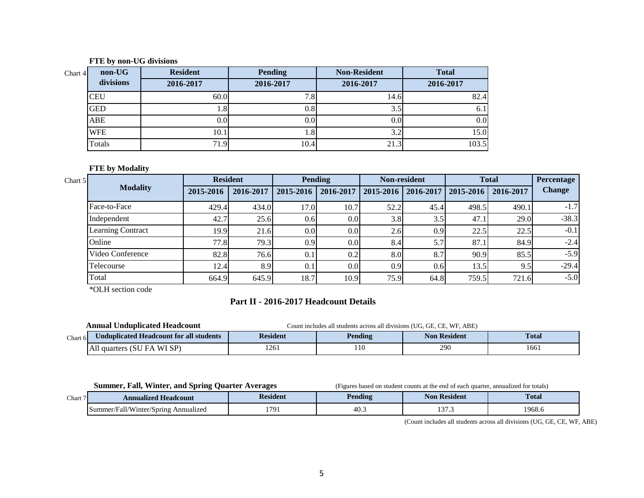#### **FTE by non-UG divisions**

| non-UG<br>Chart $4$ | <b>Resident</b> | <b>Pending</b> | <b>Non-Resident</b> | <b>Total</b> |
|---------------------|-----------------|----------------|---------------------|--------------|
| divisions           | 2016-2017       | 2016-2017      | 2016-2017           | 2016-2017    |
| <b>CEU</b>          | 60.0            | ⇁<br>ه. ا      | 14.6                | 82.4         |
| <b>GED</b>          | l.8             | 0.8            | 3.5                 | 6.1          |
| ABE                 | 0.01            | 0.0            | 0.0                 | 0.0          |
| <b>WFE</b>          | 10.1            | $1.8^{\circ}$  | 3.2                 | 15.0         |
| Totals              | 71.9            | 10.4           | 21.3                | 103.5        |

### **FTE by Modality**

| Chart 5 |                          | <b>Resident</b> |           |                  | Pending          |           | <b>Non-resident</b> |           | <b>Total</b> | <b>Percentage</b> |
|---------|--------------------------|-----------------|-----------|------------------|------------------|-----------|---------------------|-----------|--------------|-------------------|
|         | <b>Modality</b>          | 2015-2016       | 2016-2017 | 2015-2016        | 2016-2017        | 2015-2016 | 2016-2017           | 2015-2016 | 2016-2017    | <b>Change</b>     |
|         | Face-to-Face             | 429.4           | 434.0     | 17.0             | 10.7             | 52.2      | 45.4                | 498.5     | 490.1        | $-1.7$            |
|         | Independent              | 42.7            | 25.6      | 0.6              | 0.0 <sub>l</sub> | 3.8       | 3.5                 | 47.1      | 29.0         | $-38.3$           |
|         | <b>Learning Contract</b> | 19.9            | 21.6      | 0.0 <sub>l</sub> | 0.01             | 2.6       | 0.9                 | 22.5      | 22.5         | $-0.1$            |
|         | Online                   | 77.8            | 79.31     | 0.9              | 0.0              | 8.4       | 5.7                 | 87.1      | 84.9         | $-2.4$            |
|         | Video Conference         | 82.8            | 76.6      | 0.1              | 0.2              | 8.0       | 8.7                 | 90.9      | 85.5         | $-5.9$            |
|         | Telecourse               | 12.4            | 8.9       | 0.1              | 0.0              | 0.9       | 0.6                 | 13.5      | 9.5          | $-29.4$           |
|         | Total                    | 664.9           | 645.9     | 18.7             | 10.9             | 75.9      | 64.8                | 759.5     | 721.6        | $-5.0$            |

\*OLH section code

# **Part II - 2016-2017 Headcount Details**

|         | <b>Annual Unduplicated Headcount</b>    | Count includes all students across all divisions (UG, GE, CE, WF, ABE) |         |                     |              |  |  |  |
|---------|-----------------------------------------|------------------------------------------------------------------------|---------|---------------------|--------------|--|--|--|
| Chart 6 | Unduplicated Headcount for all students | <b>Resident</b>                                                        | Pending | <b>Non Resident</b> | <b>Total</b> |  |  |  |
|         | All quarters (SU<br>. WI SP)<br>FA      | 1261                                                                   | 110     | 290                 | 1661         |  |  |  |

**Summer, Fall, Winter, and Spring Quarter Averages** (Figures based on student counts at the end of each quarter, annualized for totals)

| Chart | <b>Annualized Headcount</b>                   | Resident | Pending | Resident<br>Nor | <b>Total</b> |  |
|-------|-----------------------------------------------|----------|---------|-----------------|--------------|--|
|       | .er/Fall/Winter/Spring<br>Annualized<br>Summe | 170      | 40.     | $\sim$<br>.     | $1968.$ c    |  |

(Count includes all students across all divisions (UG, GE, CE, WF, ABE)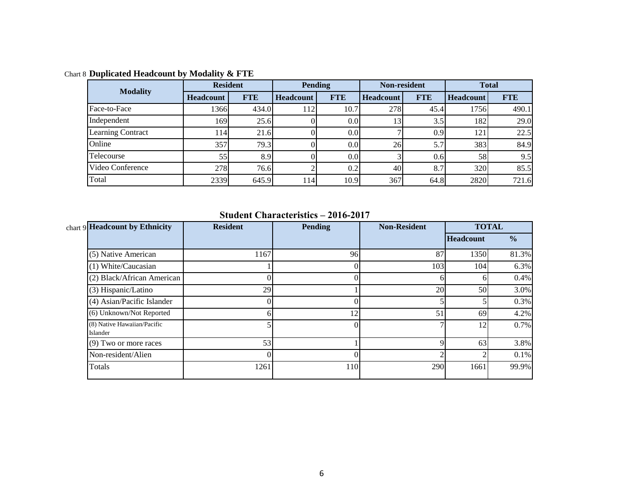| <b>Modality</b>          | <b>Resident</b>  |            |                  | Pending          | <b>Non-resident</b> |            | <b>Total</b>     |            |
|--------------------------|------------------|------------|------------------|------------------|---------------------|------------|------------------|------------|
|                          | <b>Headcount</b> | <b>FTE</b> | <b>Headcount</b> | <b>FTE</b>       | <b>Headcount</b>    | <b>FTE</b> | <b>Headcount</b> | <b>FTE</b> |
| Face-to-Face             | 1366             | 434.0      | 1121             | 10.7             | 278                 | 45.4       | 1756             | 490.1      |
| Independent              | 169              | 25.6       |                  | 0.0 <sub>l</sub> | 13                  | 3.5        | 182              | 29.0       |
| <b>Learning Contract</b> | 114I             | 21.6       |                  | 0.0 <sub>l</sub> |                     | 0.9        | 121              | 22.5       |
| Online                   | 357              | 79.3       |                  | 0.0              | 26                  | 5.7        | 383              | 84.9       |
| Telecourse               | 55               | 8.9        |                  | 0.0              |                     | 0.6        | 58               | 9.5        |
| Video Conference         | 278              | 76.6       |                  | 0.2              | 40                  | 8.7        | 320              | 85.5       |
| Total                    | 2339             | 645.9      | 114              | 10.9             | 367                 | 64.8       | 2820             | 721.6      |

Chart 8 **Duplicated Headcount by Modality & FTE**

**Student Characteristics – 2016-2017**

| chart 9 Headcount by Ethnicity          | <b>Resident</b> | <b>Pending</b> | <b>Non-Resident</b> |                  | <b>TOTAL</b>  |
|-----------------------------------------|-----------------|----------------|---------------------|------------------|---------------|
|                                         |                 |                |                     | <b>Headcount</b> | $\frac{6}{6}$ |
| (5) Native American                     | 1167            | 96             | 87                  | 1350             | 81.3%         |
| (1) White/Caucasian                     |                 |                | 103                 | 104              | 6.3%          |
| (2) Black/African American              |                 |                | h                   |                  | 0.4%          |
| (3) Hispanic/Latino                     | 29              |                | 20                  | 50               | 3.0%          |
| (4) Asian/Pacific Islander              |                 |                |                     |                  | 0.3%          |
| (6) Unknown/Not Reported                | h               | 12             | 51                  | 69               | 4.2%          |
| (8) Native Hawaiian/Pacific<br>Islander |                 |                |                     | 12               | 0.7%          |
| (9) Two or more races                   | 53              |                | Q                   | 63               | 3.8%          |
| Non-resident/Alien                      |                 |                |                     |                  | 0.1%          |
| Totals                                  | 1261            | 110            | 290                 | 1661             | 99.9%         |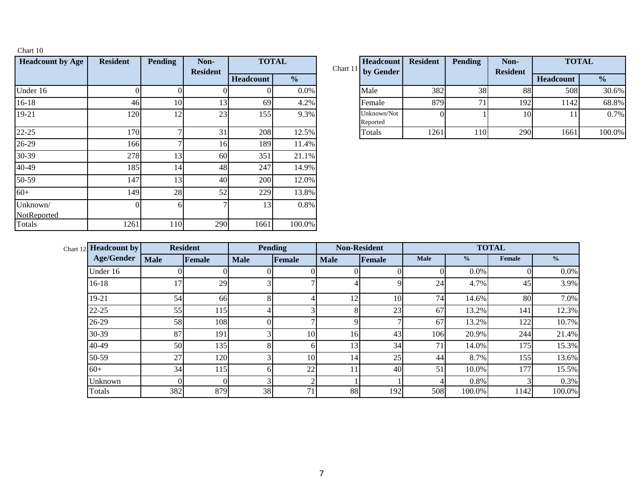| <b>Headcount by Age</b> | <b>Resident</b> | <b>Pending</b> | Non-<br><b>Resident</b> | <b>TOTAL</b>     |               | Chart 11 | Headcount<br>by Gender  |
|-------------------------|-----------------|----------------|-------------------------|------------------|---------------|----------|-------------------------|
|                         |                 |                |                         | <b>Headcount</b> | $\frac{0}{0}$ |          |                         |
| Under 16                | 0               | 0              |                         |                  | $0.0\%$       |          | Male                    |
| $16 - 18$               | 46              | 10             | 13                      | 69               | 4.2%          |          | Female                  |
| 19-21                   | 120             | 12             | 23                      | 155              | 9.3%          |          | Unknown/Not<br>Reported |
| $22 - 25$               | 170             | 7              | 31                      | 208              | 12.5%         |          | Totals                  |
| 26-29                   | 166             | 7              | 16                      | 189              | 11.4%         |          |                         |
| 30-39                   | 278             | 13             | 60                      | 351              | 21.1%         |          |                         |
| 40-49                   | 185             | 14             | 48                      | 247              | 14.9%         |          |                         |
| 50-59                   | 147             | 13             | 40                      | 200              | 12.0%         |          |                         |
| $60+$                   | 149             | 28             | 52                      | 229              | 13.8%         |          |                         |
| Unknown/<br>NotReported | $\Omega$        | 6              | 7                       | 13               | 0.8%          |          |                         |
| Totals                  | 1261            | 110            | 290                     | 1661             | 100.0%        |          |                         |

Chart 10

|     | <b>Pending</b> | Non-<br><b>Resident</b> |                  | <b>TOTAL</b>  | Headcount<br>Chart 11 by Gender | <b>Resident</b> | <b>Pending</b> | Non-<br><b>Resident</b> | <b>TOTAL</b>     |               |
|-----|----------------|-------------------------|------------------|---------------|---------------------------------|-----------------|----------------|-------------------------|------------------|---------------|
|     |                |                         | <b>Headcount</b> | $\frac{0}{0}$ |                                 |                 |                |                         | <b>Headcount</b> | $\frac{0}{0}$ |
|     |                |                         |                  | 0.0%          | Male                            | 382             | 38             | 88                      | 508              | 30.6%         |
| 46  | 10             | 13                      | 69               | 4.2%          | Female                          | 879             | 71.            | 192                     | 1142             | 68.8%         |
| 120 | ר ו            | 23                      | 155              | 9.3%          | Unknown/Not<br>Reported         |                 |                | $10^{\circ}$            |                  | 0.7%          |
| 170 |                | 31 <sup> </sup>         | 208              | 12.5%         | Totals                          | 1261            | 110            | 290                     | 1661             | 100.0%        |

| Chart 12 <b>Headcount by</b> | <b>Resident</b> |        | <b>Pending</b> |               | <b>Non-Resident</b> |        | <b>TOTAL</b> |               |        |               |  |
|------------------------------|-----------------|--------|----------------|---------------|---------------------|--------|--------------|---------------|--------|---------------|--|
| <b>Age/Gender</b>            | <b>Male</b>     | Female | <b>Male</b>    | Female        | <b>Male</b>         | Female | <b>Male</b>  | $\frac{0}{0}$ | Female | $\frac{0}{0}$ |  |
| Under 16                     |                 |        |                | ΩI            |                     |        |              | 0.0%          | 01     | $0.0\%$       |  |
| $16-18$                      | 17              | 29     |                |               |                     |        | 24           | 4.7%          | 45     | 3.9%          |  |
| 19-21                        | 54              | 66     |                |               | 12                  | 10     | 74           | 14.6%         | 80     | 7.0%          |  |
| $22 - 25$                    | 55              | 115    |                | ◠             | 8                   | 23     | 67           | 13.2%         | 141    | 12.3%         |  |
| 26-29                        | 58              | 108    |                |               | q                   |        | 67           | 13.2%         | 122    | 10.7%         |  |
| 30-39                        | 87              | 191    |                | 10            | 16                  | 43     | 106          | 20.9%         | 244    | 21.4%         |  |
| 40-49                        | 50              | 135    |                | <sup>61</sup> | 13                  | 34     | 71           | 14.0%         | 175    | 15.3%         |  |
| 50-59                        | 27              | 120    |                | 10            | 14                  | 25     | 44           | 8.7%          | 155    | 13.6%         |  |
| $60+$                        | 34              | 115    |                | 22            | 11                  | 40     | 51           | 10.0%         | 177    | 15.5%         |  |
| Unknown                      |                 | 0      |                | ◠             |                     |        |              | 0.8%          |        | 0.3%          |  |
| Totals                       | 382             | 879    | 38             | 71.           | 88                  | 192    | 508          | 100.0%        | 1142   | 100.0%        |  |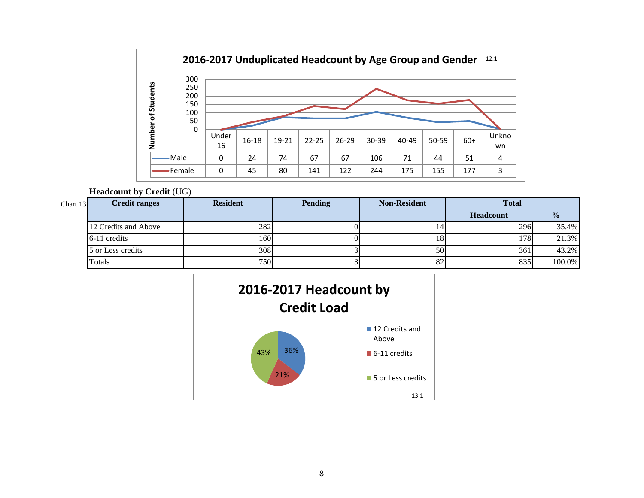

### **Headcount by Credit** (UG)

| Chart 13 | <b>Credit ranges</b> | <b>Resident</b> | <b>Pending</b> | <b>Non-Resident</b> | <b>Total</b>     |               |
|----------|----------------------|-----------------|----------------|---------------------|------------------|---------------|
|          |                      |                 |                |                     | <b>Headcount</b> | $\frac{0}{0}$ |
|          | 12 Credits and Above | 282             |                | 14                  | 296              | 35.4%         |
|          | 6-11 credits         | $160^{\circ}$   |                | 18                  | 178              | 21.3%         |
|          | 5 or Less credits    | 308             |                | 50                  | 361              | 43.2%         |
|          | Totals               | 7501            |                | 82                  | 835              | 100.0%        |

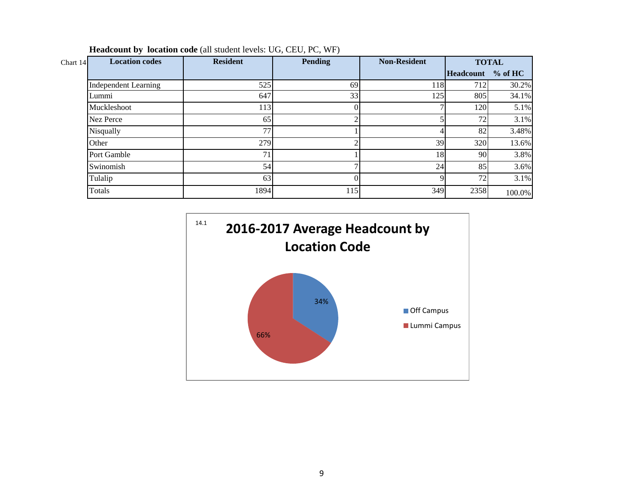| Chart 14 | <b>Location codes</b>       | <b>Resident</b> | <b>Pending</b> | <b>Non-Resident</b> |                   | <b>TOTAL</b> |
|----------|-----------------------------|-----------------|----------------|---------------------|-------------------|--------------|
|          |                             |                 |                |                     | Headcount % of HC |              |
|          | <b>Independent Learning</b> | 525             | 69             | 118                 | 712               | 30.2%        |
|          | Lummi                       | 647             | 33             | 125                 | 805               | 34.1%        |
|          | Muckleshoot                 | 113             |                |                     | 120               | 5.1%         |
|          | <b>Nez Perce</b>            | 65              |                |                     | 72                | 3.1%         |
|          | Nisqually                   | 77              |                |                     | 82                | 3.48%        |
|          | Other                       | 279             |                | 39                  | 320               | 13.6%        |
|          | Port Gamble                 | 71              |                | 18                  | 90                | 3.8%         |
|          | Swinomish                   | 54              |                | 24                  | 85                | 3.6%         |
|          | Tulalip                     | 63              |                |                     | 72                | 3.1%         |
|          | Totals                      | 1894            | 115            | 349                 | 2358              | 100.0%       |

**Headcount by location code** (all student levels: UG, CEU, PC, WF)

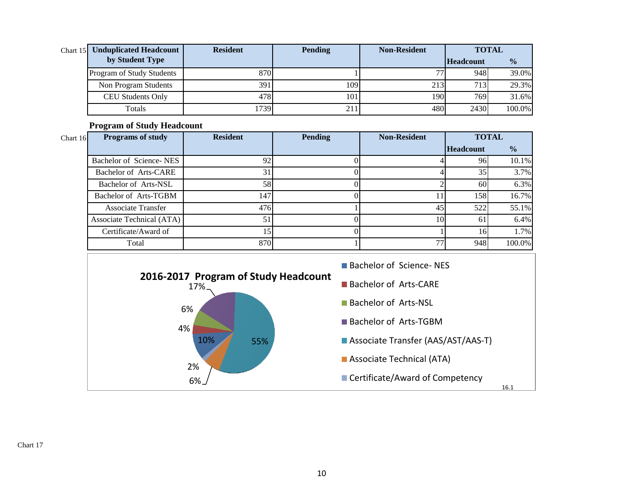| Chart 15 Unduplicated Headcount | <b>Resident</b> | <b>Pending</b> | <b>Non-Resident</b> |                  | <b>TOTAL</b>  |
|---------------------------------|-----------------|----------------|---------------------|------------------|---------------|
| by Student Type                 |                 |                |                     | <b>Headcount</b> | $\frac{6}{6}$ |
| Program of Study Students       | 870             |                | די                  | 948              | 39.0%         |
| Non Program Students            | 391             | 109            | 213                 | 713              | 29.3%         |
| CEU Students Only               | 478             | 1011           | 190                 | 769              | 31.6%         |
| Totals                          | 1739            | 211            | 480                 | 2430             | 100.0%        |

**Program of Study Headcount** 

| Chart $16$ | <b>Programs of study</b>  | <b>Resident</b> | <b>Pending</b> | <b>Non-Resident</b> | <b>TOTAL</b>     |               |
|------------|---------------------------|-----------------|----------------|---------------------|------------------|---------------|
|            |                           |                 |                |                     | <b>Headcount</b> | $\frac{6}{6}$ |
|            | Bachelor of Science-NES   | 92              |                |                     | 96               | 10.1%         |
|            | Bachelor of Arts-CARE     | 31              |                |                     | 35               | 3.7%          |
|            | Bachelor of Arts-NSL      | 58              |                |                     | 60               | 6.3%          |
|            | Bachelor of Arts-TGBM     | 147             |                |                     | 158              | 16.7%         |
|            | <b>Associate Transfer</b> | 476             |                | 45                  | 522              | 55.1%         |
|            | Associate Technical (ATA) | 51              |                | 10                  | 61               | 6.4%          |
|            | Certificate/Award of      | 15              |                |                     |                  | 1.7%          |
|            | Total                     | 870             |                | 77                  | 948              | 100.0%        |



Chart 17